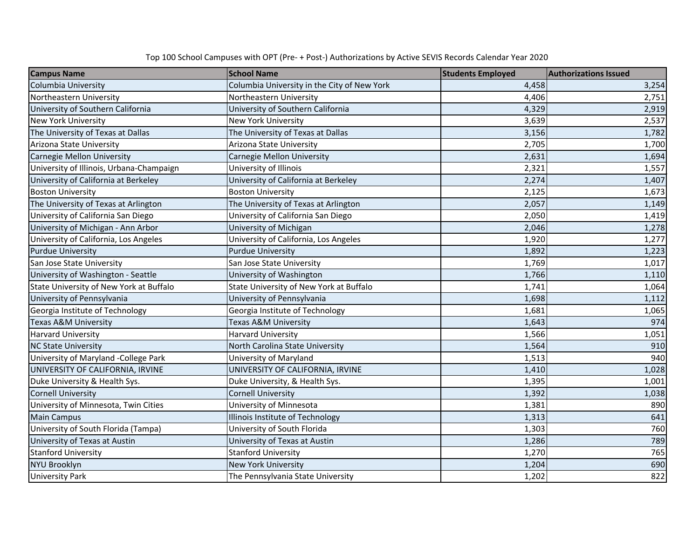|  | Top 100 School Campuses with OPT (Pre- + Post-) Authorizations by Active SEVIS Records Calendar Year 2020 |
|--|-----------------------------------------------------------------------------------------------------------|
|--|-----------------------------------------------------------------------------------------------------------|

| <b>Campus Name</b>                       | <b>School Name</b>                          | <b>Students Employed</b> | <b>Authorizations Issued</b> |
|------------------------------------------|---------------------------------------------|--------------------------|------------------------------|
| Columbia University                      | Columbia University in the City of New York | 4,458                    | 3,254                        |
| Northeastern University                  | Northeastern University                     | 4,406                    | 2,751                        |
| University of Southern California        | University of Southern California           | 4,329                    | 2,919                        |
| <b>New York University</b>               | <b>New York University</b>                  | 3,639                    | 2,537                        |
| The University of Texas at Dallas        | The University of Texas at Dallas           | 3,156                    | 1,782                        |
| Arizona State University                 | Arizona State University                    | 2,705                    | 1,700                        |
| Carnegie Mellon University               | <b>Carnegie Mellon University</b>           | 2,631                    | 1,694                        |
| University of Illinois, Urbana-Champaign | University of Illinois                      | 2,321                    | 1,557                        |
| University of California at Berkeley     | University of California at Berkeley        | 2,274                    | 1,407                        |
| <b>Boston University</b>                 | <b>Boston University</b>                    | 2,125                    | 1,673                        |
| The University of Texas at Arlington     | The University of Texas at Arlington        | 2,057                    | 1,149                        |
| University of California San Diego       | University of California San Diego          | 2,050                    | 1,419                        |
| University of Michigan - Ann Arbor       | University of Michigan                      | 2,046                    | 1,278                        |
| University of California, Los Angeles    | University of California, Los Angeles       | 1,920                    | 1,277                        |
| <b>Purdue University</b>                 | <b>Purdue University</b>                    | 1,892                    | 1,223                        |
| San Jose State University                | San Jose State University                   | 1,769                    | 1,017                        |
| University of Washington - Seattle       | University of Washington                    | 1,766                    | 1,110                        |
| State University of New York at Buffalo  | State University of New York at Buffalo     | 1,741                    | 1,064                        |
| University of Pennsylvania               | University of Pennsylvania                  | 1,698                    | 1,112                        |
| Georgia Institute of Technology          | Georgia Institute of Technology             | 1,681                    | 1,065                        |
| Texas A&M University                     | Texas A&M University                        | 1,643                    | 974                          |
| <b>Harvard University</b>                | <b>Harvard University</b>                   | 1,566                    | 1,051                        |
| <b>NC State University</b>               | North Carolina State University             | 1,564                    | 910                          |
| University of Maryland -College Park     | University of Maryland                      | 1,513                    | 940                          |
| UNIVERSITY OF CALIFORNIA, IRVINE         | UNIVERSITY OF CALIFORNIA, IRVINE            | 1,410                    | 1,028                        |
| Duke University & Health Sys.            | Duke University, & Health Sys.              | 1,395                    | 1,001                        |
| <b>Cornell University</b>                | <b>Cornell University</b>                   | 1,392                    | 1,038                        |
| University of Minnesota, Twin Cities     | University of Minnesota                     | 1,381                    | 890                          |
| <b>Main Campus</b>                       | Illinois Institute of Technology            | 1,313                    | 641                          |
| University of South Florida (Tampa)      | University of South Florida                 | 1,303                    | 760                          |
| University of Texas at Austin            | University of Texas at Austin               | 1,286                    | 789                          |
| <b>Stanford University</b>               | <b>Stanford University</b>                  | 1,270                    | 765                          |
| <b>NYU Brooklyn</b>                      | New York University                         | 1,204                    | 690                          |
| <b>University Park</b>                   | The Pennsylvania State University           | 1,202                    | 822                          |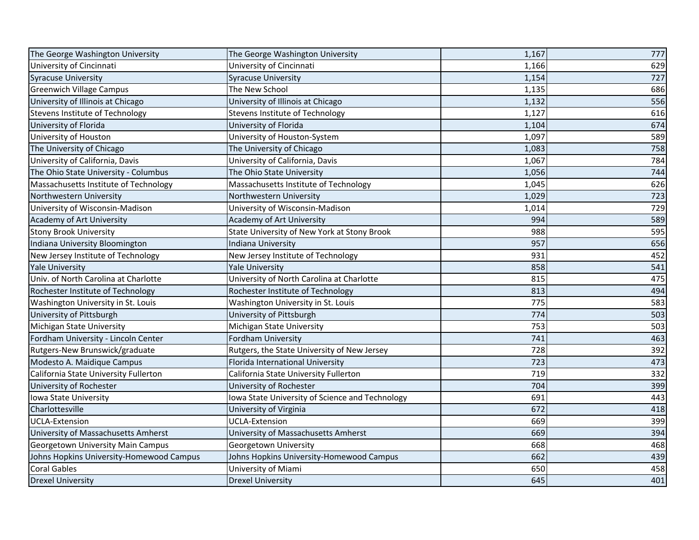| The George Washington University         | The George Washington University                | 1,167 | 777 |
|------------------------------------------|-------------------------------------------------|-------|-----|
| University of Cincinnati                 | University of Cincinnati                        | 1,166 | 629 |
| <b>Syracuse University</b>               | <b>Syracuse University</b>                      | 1,154 | 727 |
| <b>Greenwich Village Campus</b>          | The New School                                  | 1,135 | 686 |
| University of Illinois at Chicago        | University of Illinois at Chicago               | 1,132 | 556 |
| Stevens Institute of Technology          | Stevens Institute of Technology                 | 1,127 | 616 |
| University of Florida                    | University of Florida                           | 1,104 | 674 |
| University of Houston                    | University of Houston-System                    | 1,097 | 589 |
| The University of Chicago                | The University of Chicago                       | 1,083 | 758 |
| University of California, Davis          | University of California, Davis                 | 1,067 | 784 |
| The Ohio State University - Columbus     | The Ohio State University                       | 1,056 | 744 |
| Massachusetts Institute of Technology    | Massachusetts Institute of Technology           | 1,045 | 626 |
| Northwestern University                  | Northwestern University                         | 1,029 | 723 |
| University of Wisconsin-Madison          | University of Wisconsin-Madison                 | 1,014 | 729 |
| Academy of Art University                | <b>Academy of Art University</b>                | 994   | 589 |
| <b>Stony Brook University</b>            | State University of New York at Stony Brook     | 988   | 595 |
| Indiana University Bloomington           | Indiana University                              | 957   | 656 |
| New Jersey Institute of Technology       | New Jersey Institute of Technology              | 931   | 452 |
| <b>Yale University</b>                   | <b>Yale University</b>                          | 858   | 541 |
| Univ. of North Carolina at Charlotte     | University of North Carolina at Charlotte       | 815   | 475 |
| Rochester Institute of Technology        | Rochester Institute of Technology               | 813   | 494 |
| Washington University in St. Louis       | Washington University in St. Louis              | 775   | 583 |
| University of Pittsburgh                 | University of Pittsburgh                        | 774   | 503 |
| Michigan State University                | Michigan State University                       | 753   | 503 |
| Fordham University - Lincoln Center      | <b>Fordham University</b>                       | 741   | 463 |
| Rutgers-New Brunswick/graduate           | Rutgers, the State University of New Jersey     | 728   | 392 |
| Modesto A. Maidique Campus               | Florida International University                | 723   | 473 |
| California State University Fullerton    | California State University Fullerton           | 719   | 332 |
| University of Rochester                  | University of Rochester                         | 704   | 399 |
| Iowa State University                    | lowa State University of Science and Technology | 691   | 443 |
| Charlottesville                          | University of Virginia                          | 672   | 418 |
| <b>UCLA-Extension</b>                    | <b>UCLA-Extension</b>                           | 669   | 399 |
| University of Massachusetts Amherst      | University of Massachusetts Amherst             | 669   | 394 |
| Georgetown University Main Campus        | Georgetown University                           | 668   | 468 |
| Johns Hopkins University-Homewood Campus | Johns Hopkins University-Homewood Campus        | 662   | 439 |
| <b>Coral Gables</b>                      | University of Miami                             | 650   | 458 |
| <b>Drexel University</b>                 | <b>Drexel University</b>                        | 645   | 401 |